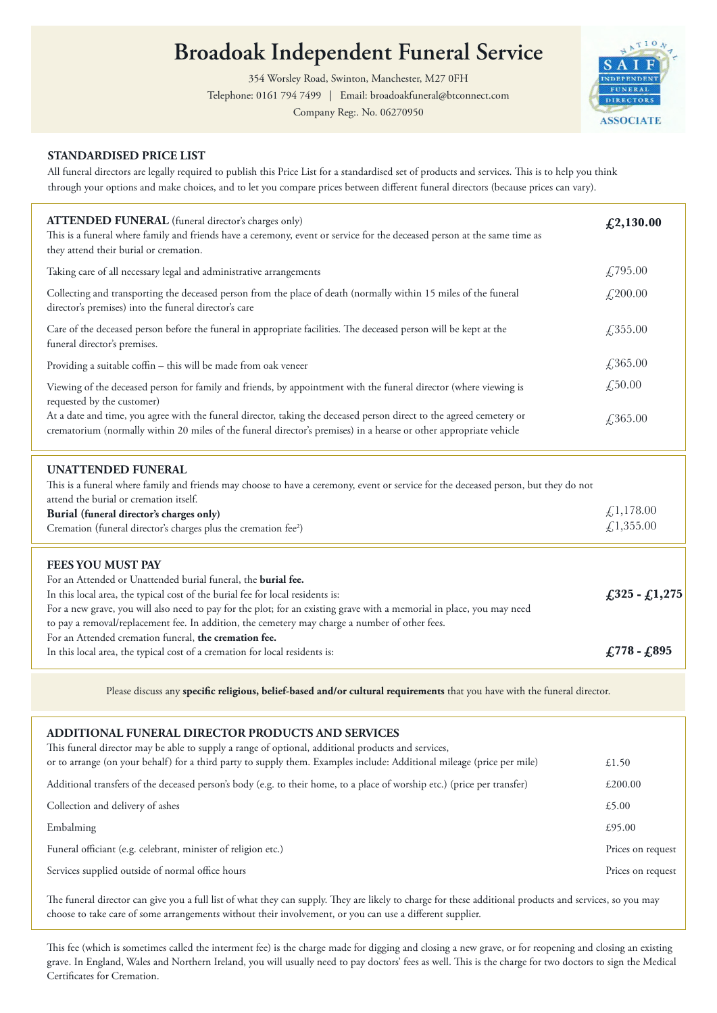# broadoak independent runeral service **Broadoak Independent Funeral Service**

354 Worsley Road, Swinton, Manchester, M27 0FH

 Telephone: 0161 794 7499 | Email: broadoakfuneral@btconnect.com 

Company Reg:. No. 06270950



# **STANDARDISED PRICE LIST**

 All funeral directors are legally required to publish this Price List for a standardised set of products and services. This is to help you think through your options and make choices, and to let you compare prices between different funeral directors (because prices can vary). <u> 1980 - Johann Barbara, martxa a</u>

| ATTENDED FUNERAL (funeral director's charges only)<br>This is a funeral where family and friends have a ceremony, event or service for the deceased person at the same time as<br>they attend their burial or cremation.                   | £2,130.00  |
|--------------------------------------------------------------------------------------------------------------------------------------------------------------------------------------------------------------------------------------------|------------|
| Taking care of all necessary legal and administrative arrangements                                                                                                                                                                         | £795.00    |
| Collecting and transporting the deceased person from the place of death (normally within 15 miles of the funeral<br>director's premises) into the funeral director's care                                                                  | £,200.00   |
| Care of the deceased person before the funeral in appropriate facilities. The deceased person will be kept at the<br>funeral director's premises.                                                                                          | £,355.00   |
| Providing a suitable coffin - this will be made from oak veneer                                                                                                                                                                            | £,365.00   |
| Viewing of the deceased person for family and friends, by appointment with the funeral director (where viewing is<br>requested by the customer)                                                                                            | £,50.00    |
| At a date and time, you agree with the funeral director, taking the deceased person direct to the agreed cemetery or<br>crematorium (normally within 20 miles of the funeral director's premises) in a hearse or other appropriate vehicle | £,365.00   |
| <b>UNATTENDED FUNERAL</b>                                                                                                                                                                                                                  |            |
| This is a funeral where family and friends may choose to have a ceremony, event or service for the deceased person, but they do not<br>attend the burial or cremation itself.                                                              |            |
| Burial (funeral director's charges only)                                                                                                                                                                                                   | £,1,178.00 |

| <b>Burial (funeral director's charges only)</b>                                                  |  |
|--------------------------------------------------------------------------------------------------|--|
| $\angle 1,355.00$<br>Cremation (funeral director's charges plus the cremation fee <sup>2</sup> ) |  |
|                                                                                                  |  |

## **FEES YOU MUST PAY**

| FEES YOU MUST PAY                                                                                                     |                               |
|-----------------------------------------------------------------------------------------------------------------------|-------------------------------|
| For an Attended or Unattended burial funeral, the <b>burial fee.</b>                                                  |                               |
| In this local area, the typical cost of the burial fee for local residents is:                                        | $\lfloor 325 - 1.275 \rfloor$ |
| For a new grave, you will also need to pay for the plot; for an existing grave with a memorial in place, you may need |                               |
| to pay a removal/replacement fee. In addition, the cemetery may charge a number of other fees.                        |                               |
| For an Attended cremation funeral, the cremation fee.                                                                 |                               |
| In this local area, the typical cost of a cremation for local residents is:                                           | $£778 - £895$                 |
|                                                                                                                       |                               |

 Please discuss any **specific religious, belief-based and/or cultural requirements** that you have with the funeral director. ,我们也不会有什么。""我们的人,我们也不会有什么?""我们的人,我们也不会有什么?""我们的人,我们也不会有什么?""我们的人,我们也不会有什么?""我们的人

#### **ADDITIONAL FUNERAL DIRECTOR PRODUCTS AND SERVICES** This funeral director may be able to supply a range of optional, additional products and services, or to arrange (on your behalf) for a third party to supply them. Examples include: Additional mileage (price per mile)  $£1.50$ Additional transfers of the deceased person's body (e.g. to their home, to a place of worship etc.) (price per transfer) Collection and delivery of ashes  $£5.00$ Embalming Funeral officiant (e.g. celebrant, minister of religion etc.) Services supplied outside of normal office hours uneral omciant (e.g. celebrant, minister of religion e £1.50 £200.00 £5.00 £95.00 Prices on request Prices on request

The funeral director can give you a full list of what they can supply. They are likely to charge for these additional products and services, so you may choose to take care of some arrangements without their involvement, or you can use a different supplier.

This fee (which is sometimes called the interment fee) is the charge made for digging and closing a new grave, or for reopening and closing an existing grave. In England, Wales and Northern Ireland, you will usually need to pay doctors' fees as well. This is the charge for two doctors to sign the Medical Certificates for Cremation.